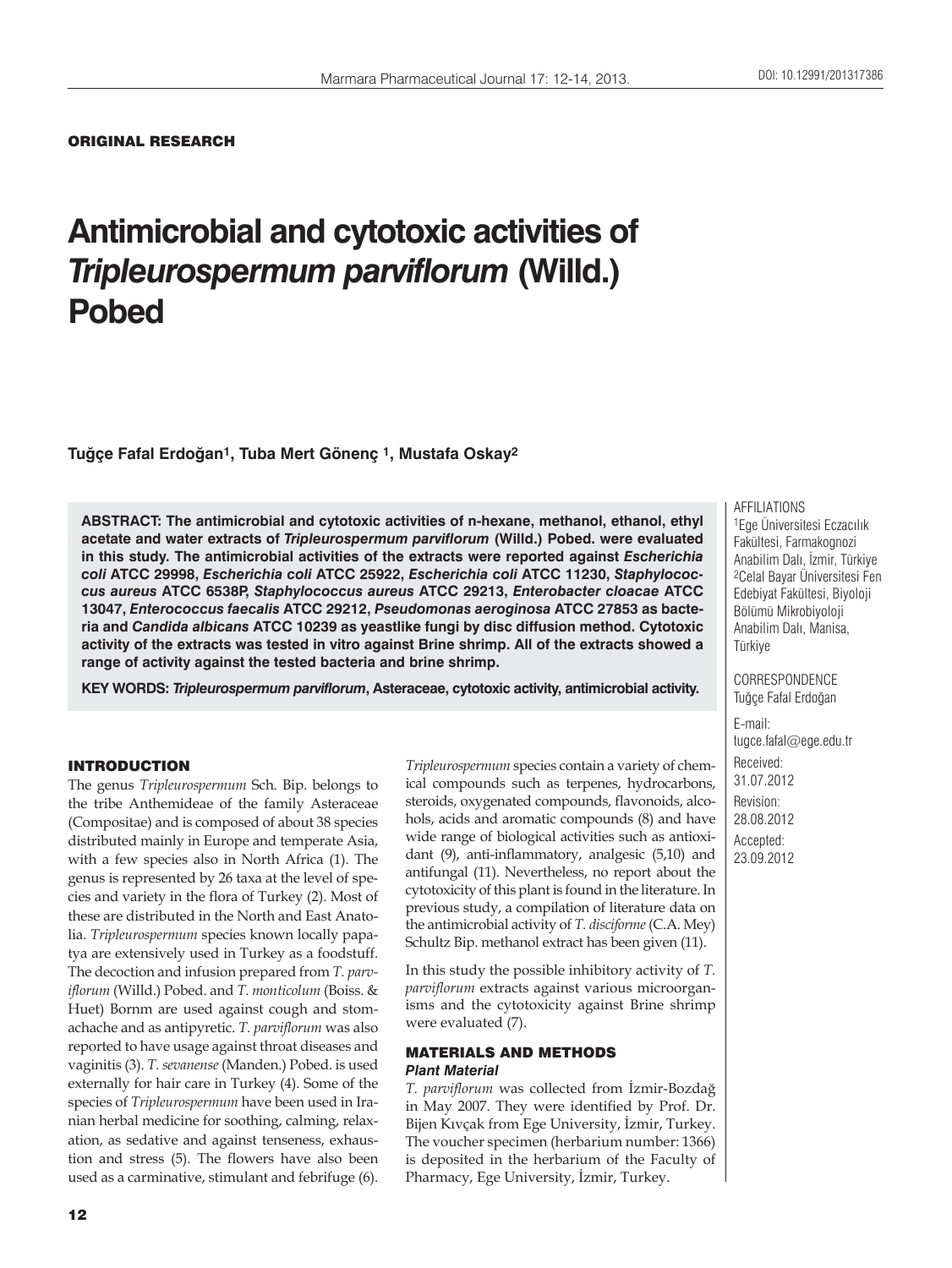## ORIGINAL RESEARCH

# **Antimicrobial and cytotoxic activities of**  *Tripleurospermum parviflorum* **(Willd.) Pobed**

**Tuğçe Fafal Erdoğan1, Tuba Mert Gönenç 1, Mustafa Oskay2**

**ABSTRACT: The antimicrobial and cytotoxic activities of n-hexane, methanol, ethanol, ethyl acetate and water extracts of** *Tripleurospermum parviflorum* **(Willd.) Pobed. were evaluated in this study. The antimicrobial activities of the extracts were reported against** *Escherichia coli* **ATCC 29998,** *Escherichia coli* **ATCC 25922,** *Escherichia coli* **ATCC 11230,** *Staphylococcus aureus* **ATCC 6538P,** *Staphylococcus aureus* **ATCC 29213,** *Enterobacter cloacae* **ATCC 13047,** *Enterococcus faecalis* **ATCC 29212,** *Pseudomonas aeroginosa* **ATCC 27853 as bacteria and** *Candida albicans* **ATCC 10239 as yeastlike fungi by disc diffusion method. Cytotoxic activity of the extracts was tested in vitro against Brine shrimp. All of the extracts showed a range of activity against the tested bacteria and brine shrimp.**

**KEY WORDS:** *Tripleurospermum parviflorum***, Asteraceae, cytotoxic activity, antimicrobial activity.**

## INTRODUCTION

The genus *Tripleurospermum* Sch. Bip. belongs to the tribe Anthemideae of the family Asteraceae (Compositae) and is composed of about 38 species distributed mainly in Europe and temperate Asia, with a few species also in North Africa (1). The genus is represented by 26 taxa at the level of species and variety in the flora of Turkey (2). Most of these are distributed in the North and East Anatolia. *Tripleurospermum* species known locally papatya are extensively used in Turkey as a foodstuff. The decoction and infusion prepared from *T. parviflorum* (Willd.) Pobed. and *T. monticolum* (Boiss. & Huet) Bornm are used against cough and stomachache and as antipyretic. *T. parviflorum* was also reported to have usage against throat diseases and vaginitis (3). *T. sevanense* (Manden.) Pobed. is used externally for hair care in Turkey (4). Some of the species of *Tripleurospermum* have been used in Iranian herbal medicine for soothing, calming, relaxation, as sedative and against tenseness, exhaustion and stress (5). The flowers have also been used as a carminative, stimulant and febrifuge (6).

*Tripleurospermum* species contain a variety of chemical compounds such as terpenes, hydrocarbons, steroids, oxygenated compounds, flavonoids, alcohols, acids and aromatic compounds (8) and have wide range of biological activities such as antioxidant (9), anti-inflammatory, analgesic (5,10) and antifungal (11). Nevertheless, no report about the cytotoxicity of this plant is found in the literature. In previous study, a compilation of literature data on the antimicrobial activity of *T. disciforme* (C.A. Mey) Schultz Bip. methanol extract has been given (11).

In this study the possible inhibitory activity of *T. parviflorum* extracts against various microorganisms and the cytotoxicity against Brine shrimp were evaluated (7).

## MATERIALS AND METHODS *Plant Material*

*T. parviflorum* was collected from İzmir-Bozdağ in May 2007. They were identified by Prof. Dr. Bijen Kıvçak from Ege University, İzmir, Turkey. The voucher specimen (herbarium number: 1366) is deposited in the herbarium of the Faculty of Pharmacy, Ege University, İzmir, Turkey.

AFFILIATIONS

1Ege Üniversitesi Eczacılık Fakültesi, Farmakognozi Anabilim Dalı, İzmir, Türkiye 2Celal Bayar Üniversitesi Fen Edebiyat Fakültesi, Biyoloji Bölümü Mikrobiyoloji Anabilim Dalı, Manisa, Türkiye

CORRESPONDENCE Tuğçe Fafal Erdoğan

E-mail: tugce.fafal@ege.edu.tr Received: 31.07.2012 Revision: 28.08.2012 Accepted: 23.09.2012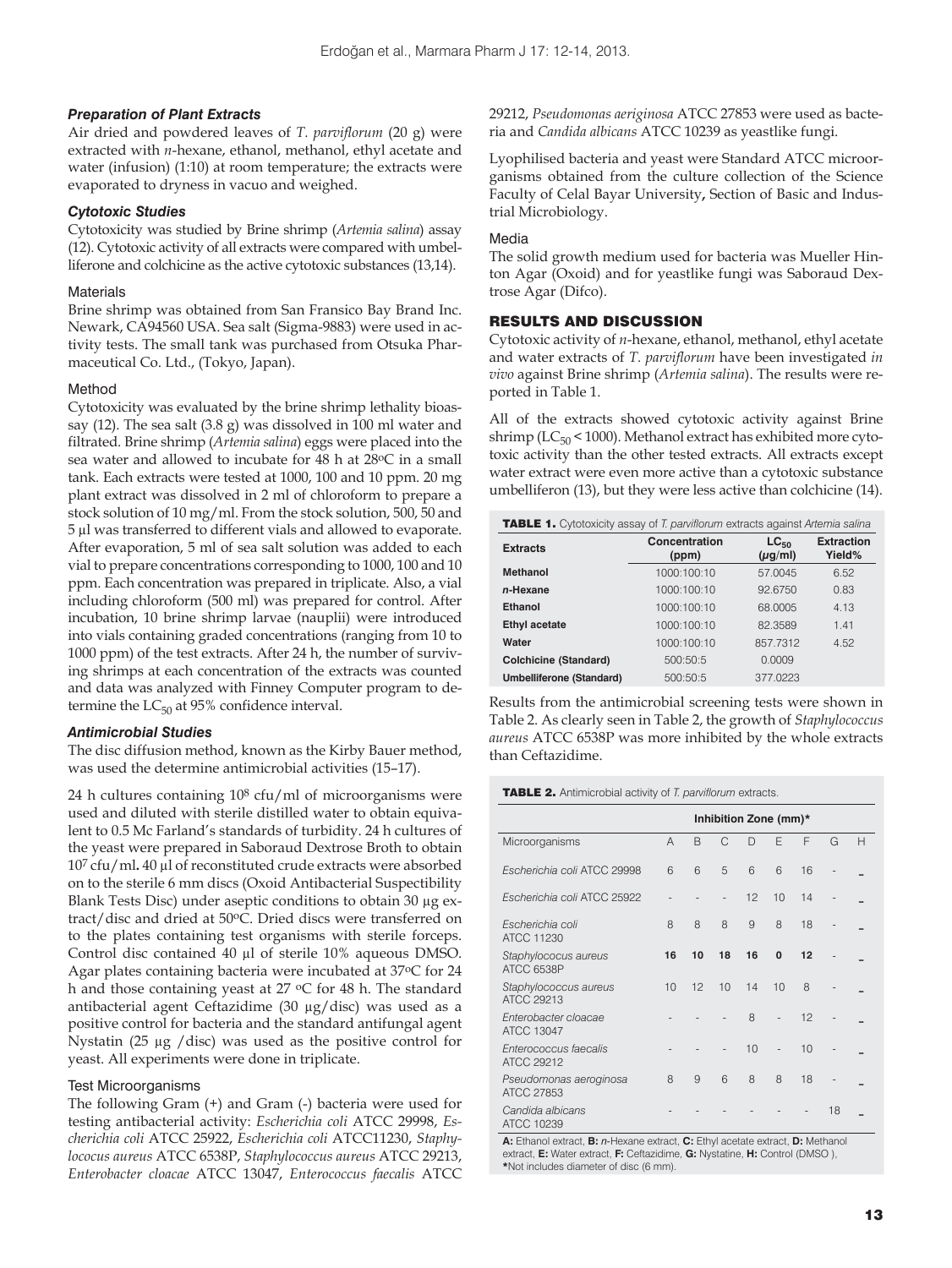## *Preparation of Plant Extracts*

Air dried and powdered leaves of *T. parviflorum* (20 g) were extracted with *n*-hexane, ethanol, methanol, ethyl acetate and water (infusion) (1:10) at room temperature; the extracts were evaporated to dryness in vacuo and weighed.

#### *Cytotoxic Studies*

Cytotoxicity was studied by Brine shrimp (*Artemia salina*) assay (12). Cytotoxic activity of all extracts were compared with umbelliferone and colchicine as the active cytotoxic substances (13,14).

#### **Materials**

Brine shrimp was obtained from San Fransico Bay Brand Inc. Newark, CA94560 USA. Sea salt (Sigma-9883) were used in activity tests. The small tank was purchased from Otsuka Pharmaceutical Co. Ltd., (Tokyo, Japan).

#### Method

Cytotoxicity was evaluated by the brine shrimp lethality bioassay (12). The sea salt (3.8 g) was dissolved in 100 ml water and filtrated. Brine shrimp (*Artemia salina*) eggs were placed into the sea water and allowed to incubate for 48 h at 28°C in a small tank. Each extracts were tested at 1000, 100 and 10 ppm. 20 mg plant extract was dissolved in 2 ml of chloroform to prepare a stock solution of 10 mg/ml. From the stock solution, 500, 50 and 5 μl was transferred to different vials and allowed to evaporate. After evaporation, 5 ml of sea salt solution was added to each vial to prepare concentrations corresponding to 1000, 100 and 10 ppm. Each concentration was prepared in triplicate. Also, a vial including chloroform (500 ml) was prepared for control. After incubation, 10 brine shrimp larvae (nauplii) were introduced into vials containing graded concentrations (ranging from 10 to 1000 ppm) of the test extracts. After 24 h, the number of surviving shrimps at each concentration of the extracts was counted and data was analyzed with Finney Computer program to determine the  $LC_{50}$  at 95% confidence interval.

## *Antimicrobial Studies*

The disc diffusion method, known as the Kirby Bauer method, was used the determine antimicrobial activities (15–17).

24 h cultures containing 108 cfu/ml of microorganisms were used and diluted with sterile distilled water to obtain equivalent to 0.5 Mc Farland's standards of turbidity. 24 h cultures of the yeast were prepared in Saboraud Dextrose Broth to obtain 107 cfu/ml**.** 40 μl of reconstituted crude extracts were absorbed on to the sterile 6 mm discs (Oxoid Antibacterial Suspectibility Blank Tests Disc) under aseptic conditions to obtain 30 μg extract/disc and dried at 50oC. Dried discs were transferred on to the plates containing test organisms with sterile forceps. Control disc contained 40 μl of sterile 10% aqueous DMSO. Agar plates containing bacteria were incubated at 37oC for 24 h and those containing yeast at 27 °C for 48 h. The standard antibacterial agent Ceftazidime (30 μg/disc) was used as a positive control for bacteria and the standard antifungal agent Nystatin (25 μg /disc) was used as the positive control for yeast. All experiments were done in triplicate.

## Test Microorganisms

The following Gram (+) and Gram (-) bacteria were used for testing antibacterial activity: *Escherichia coli* ATCC 29998, *Escherichia coli* ATCC 25922, *Escherichia coli* ATCC11230, *Staphylococus aureus* ATCC 6538P, *Staphylococcus aureus* ATCC 29213, *Enterobacter cloacae* ATCC 13047, *Enterococcus faecalis* ATCC 29212, *Pseudomonas aeriginosa* ATCC 27853 were used as bacteria and *Candida albicans* ATCC 10239 as yeastlike fungi.

Lyophilised bacteria and yeast were Standard ATCC microorganisms obtained from the culture collection of the Science Faculty of Celal Bayar University**,** Section of Basic and Industrial Microbiology.

#### Media

The solid growth medium used for bacteria was Mueller Hinton Agar (Oxoid) and for yeastlike fungi was Saboraud Dextrose Agar (Difco).

## RESULTS AND DISCUSSION

Cytotoxic activity of *n*-hexane, ethanol, methanol, ethyl acetate and water extracts of *T. parviflorum* have been investigated *in vivo* against Brine shrimp (*Artemia salina*). The results were reported in Table 1.

All of the extracts showed cytotoxic activity against Brine shrimp ( $LC_{50}$  < 1000). Methanol extract has exhibited more cytotoxic activity than the other tested extracts. All extracts except water extract were even more active than a cytotoxic substance umbelliferon (13), but they were less active than colchicine (14).

| <b>TABLE 1.</b> Cytotoxicity assay of T. parviflorum extracts against Artemia salina |                        |                           |                             |  |  |  |  |  |
|--------------------------------------------------------------------------------------|------------------------|---------------------------|-----------------------------|--|--|--|--|--|
| <b>Extracts</b>                                                                      | Concentration<br>(ppm) | $LC_{50}$<br>$(\mu g/ml)$ | <b>Extraction</b><br>Yield% |  |  |  |  |  |
| <b>Methanol</b>                                                                      | 1000:100:10            | 57.0045                   | 6.52                        |  |  |  |  |  |
| n-Hexane                                                                             | 1000:100:10            | 92.6750                   | 0.83                        |  |  |  |  |  |
| <b>Ethanol</b>                                                                       | 1000:100:10            | 68.0005                   | 4.13                        |  |  |  |  |  |
| <b>Ethyl acetate</b>                                                                 | 1000:100:10            | 82.3589                   | 1.41                        |  |  |  |  |  |
| Water                                                                                | 1000:100:10            | 857.7312                  | 4.52                        |  |  |  |  |  |
| <b>Colchicine (Standard)</b>                                                         | 500:50:5               | 0.0009                    |                             |  |  |  |  |  |
| Umbelliferone (Standard)                                                             | 500:50:5               | 377,0223                  |                             |  |  |  |  |  |

Results from the antimicrobial screening tests were shown in Table 2. As clearly seen in Table 2, the growth of *Staphylococcus aureus* ATCC 6538P was more inhibited by the whole extracts than Ceftazidime.

#### TABLE 2. Antimicrobial activity of *T. parviflorum* extracts.

|                                                                    | Inhibition Zone (mm)* |    |    |    |                |    |                              |   |
|--------------------------------------------------------------------|-----------------------|----|----|----|----------------|----|------------------------------|---|
| Microorganisms                                                     | $\overline{A}$        | B  | C  | D  | F              | F  | G                            | Н |
| Escherichia coli ATCC 29998                                        | 6                     | 6  | 5  | 6  | 6              | 16 |                              |   |
| Escherichia coli ATCC 25922                                        |                       |    |    | 12 | 10             | 14 |                              |   |
| Escherichia coli<br>ATCC 11230                                     | 8                     | 8  | 8  | 9  | 8              | 18 |                              |   |
| Staphylococus aureus<br>ATCC 6538P                                 | 16                    | 10 | 18 | 16 | $\mathbf{0}$   | 12 |                              |   |
| Staphylococcus aureus<br>ATCC 29213                                | 10                    | 12 | 10 | 14 | 10             | 8  |                              |   |
| Enterobacter cloacae<br>ATCC 13047                                 |                       |    |    | 8  |                | 12 |                              |   |
| Enterococcus faecalis<br>ATCC 29212                                |                       |    |    | 10 | $\overline{a}$ | 10 | $\qquad \qquad \blacksquare$ |   |
| Pseudomonas aeroginosa<br>ATCC 27853                               | 8                     | 9  | 6  | 8  | 8              | 18 |                              |   |
| Candida albicans<br>ATCC 10239                                     |                       |    |    |    |                |    | 18                           |   |
| A FINISH CHAIR RESIDENTS ON A FINISH AND A STREET AND A RESIDENCE. |                       |    |    |    |                |    |                              |   |

**A:** Ethanol extract, **B:** *n*-Hexane extract, **C:** Ethyl acetate extract, **D:** I extract, **E:** Water extract, **F:** Ceftazidime, **G:** Nystatine, **H:** Control (DMSO ), **\***Not includes diameter of disc (6 mm).